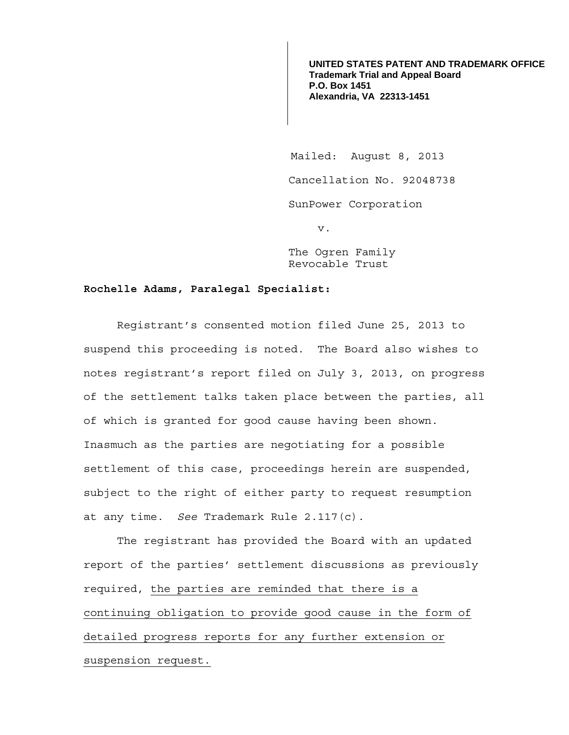**UNITED STATES PATENT AND TRADEMARK OFFICE Trademark Trial and Appeal Board P.O. Box 1451 Alexandria, VA 22313-1451**

 Mailed: August 8, 2013 Cancellation No. 92048738 SunPower Corporation v.

The Ogren Family Revocable Trust

## **Rochelle Adams, Paralegal Specialist:**

 Registrant's consented motion filed June 25, 2013 to suspend this proceeding is noted. The Board also wishes to notes registrant's report filed on July 3, 2013, on progress of the settlement talks taken place between the parties, all of which is granted for good cause having been shown. Inasmuch as the parties are negotiating for a possible settlement of this case, proceedings herein are suspended, subject to the right of either party to request resumption at any time. *See* Trademark Rule 2.117(c).

The registrant has provided the Board with an updated report of the parties' settlement discussions as previously required, the parties are reminded that there is a continuing obligation to provide good cause in the form of detailed progress reports for any further extension or suspension request.